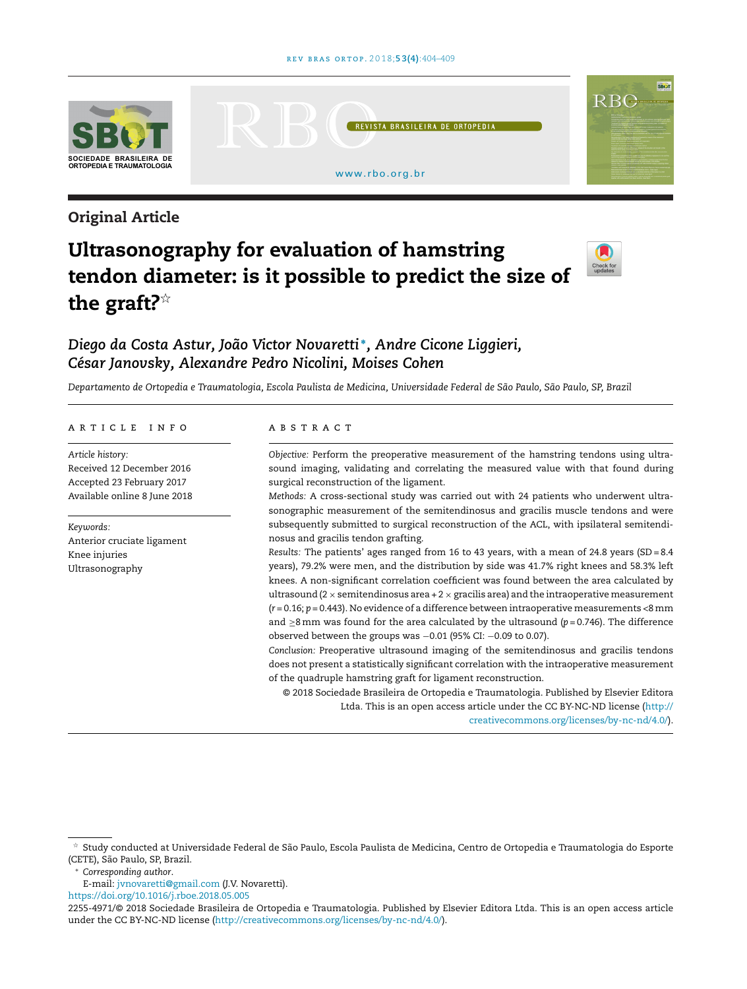[www.rbo.org.br](http://www.rbo.org.br)

**REVISTA BRASILEIRA DE ORTOPED** 



# **Original Article**

# **Ultrasonography for evaluation of hamstring tendon diameter: is it possible to predict the size of the graft?**-



**RBC** 

**River** 

# *Diego da Costa Astur, João Victor Novaretti* **<sup>∗</sup>***, Andre Cicone Liggieri, César Janovsky, Alexandre Pedro Nicolini, Moises Cohen*

Departamento de Ortopedia e Traumatologia, Escola Paulista de Medicina, Universidade Federal de São Paulo, São Paulo, SP, Brazil

# ARTICLE INFO

*Article history:* Received 12 December 2016 Accepted 23 February 2017 Available online 8 June 2018

*Keywords:* Anterior cruciate ligament Knee injuries Ultrasonography

# a b s t r a c t

*Objective:* Perform the preoperative measurement of the hamstring tendons using ultrasound imaging, validating and correlating the measured value with that found during surgical reconstruction of the ligament.

*Methods:* A cross-sectional study was carried out with 24 patients who underwent ultrasonographic measurement of the semitendinosus and gracilis muscle tendons and were subsequently submitted to surgical reconstruction of the ACL, with ipsilateral semitendinosus and gracilis tendon grafting.

*Results: The patients' ages ranged from 16 to 43 years, with a mean of 24.8 years (SD = 8.4* years), 79.2% were men, and the distribution by side was 41.7% right knees and 58.3% left knees. A non-significant correlation coefficient was found between the area calculated by ultrasound (2  $\times$  semitendinosus area + 2  $\times$  gracilis area) and the intraoperative measurement (*r* = 0.16; *p* = 0.443). No evidence of a difference between intraoperative measurements <8mm and  $\geq$ 8mm was found for the area calculated by the ultrasound ( $p = 0.746$ ). The difference observed between the groups was −0.01 (95% CI: −0.09 to 0.07).

*Conclusion:* Preoperative ultrasound imaging of the semitendinosus and gracilis tendons does not present a statistically significant correlation with the intraoperative measurement of the quadruple hamstring graft for ligament reconstruction.

© 2018 Sociedade Brasileira de Ortopedia e Traumatologia. Published by Elsevier Editora Ltda. This is an open access article under the CC BY-NC-ND license [\(http://](http://creativecommons.org/licenses/by-nc-nd/4.0/) [creativecommons.org/licenses/by-nc-nd/4.0/](http://creativecommons.org/licenses/by-nc-nd/4.0/)).

∗ *Corresponding author*.

E-mail: [jvnovaretti@gmail.com](mailto:jvnovaretti@gmail.com) (J.V. Novaretti).

<https://doi.org/10.1016/j.rboe.2018.05.005>

<sup>-</sup> Study conducted at Universidade Federal de São Paulo, Escola Paulista de Medicina, Centro de Ortopedia e Traumatologia do Esporte (CETE), São Paulo, SP, Brazil.

<sup>2255-4971/©</sup> 2018 Sociedade Brasileira de Ortopedia e Traumatologia. Published by Elsevier Editora Ltda. This is an open access article under the CC BY-NC-ND license ([http://creativecommons.org/licenses/by-nc-nd/4.0/\)](http://creativecommons.org/licenses/by-nc-nd/4.0/).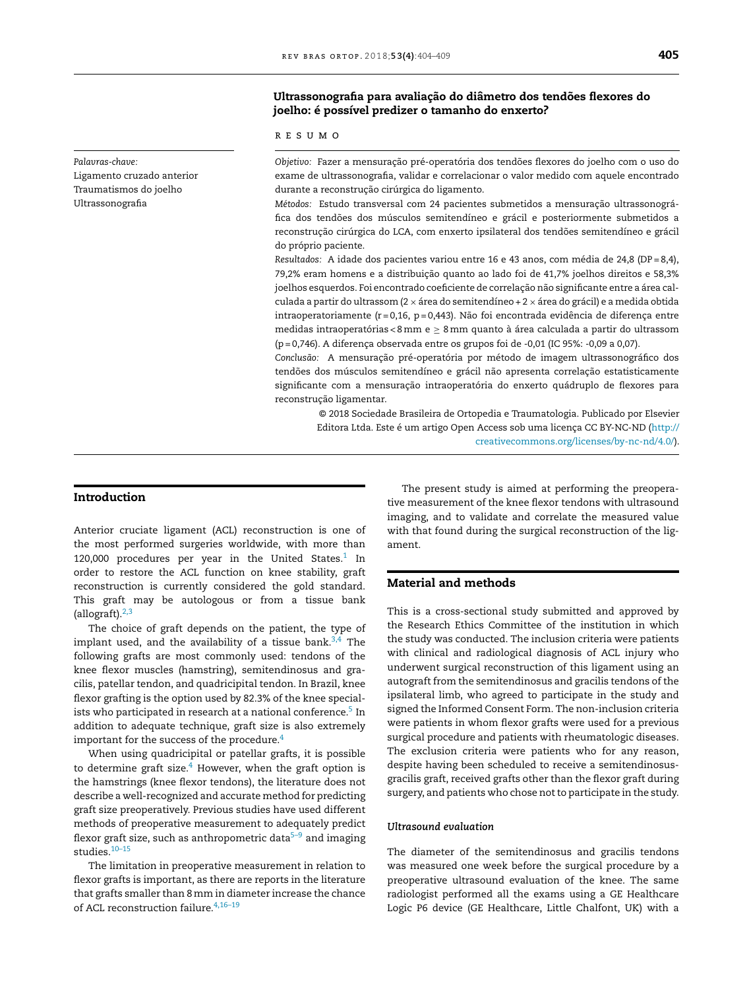# **Ultrassonografia para avaliac¸ão do diâmetro dos tendões flexores do joelho: é possível predizer o tamanho do enxerto?**

r e s u m o

*Objetivo:* Fazer a mensuração pré-operatória dos tendões flexores do joelho com o uso do exame de ultrassonografia, validar e correlacionar o valor medido com aquele encontrado durante a reconstrução cirúrgica do ligamento.

*Métodos:* Estudo transversal com 24 pacientes submetidos a mensuração ultrassonográfica dos tendões dos músculos semitendíneo e grácil e posteriormente submetidos a reconstrução cirúrgica do LCA, com enxerto ipsilateral dos tendões semitendíneo e grácil do próprio paciente.

*Resultados:* A idade dos pacientes variou entre 16 e 43 anos, com média de 24,8 (DP = 8,4), 79,2% eram homens e a distribuição quanto ao lado foi de 41,7% joelhos direitos e 58,3% joelhos esquerdos. Foi encontrado coeficiente de correlação não significante entre a área calculada a partir do ultrassom (2  $\times$  área do semitendíneo + 2  $\times$  área do grácil) e a medida obtida intraoperatoriamente ( $r = 0,16$ ,  $p = 0,443$ ). Não foi encontrada evidência de diferença entre medidas intraoperatórias < 8 mm e  $\geq$  8 mm quanto à área calculada a partir do ultrassom  $(p=0,746)$ . A diferença observada entre os grupos foi de -0,01 (IC 95%: -0,09 a 0,07).

Conclusão: A mensuração pré-operatória por método de imagem ultrassonográfico dos tendões dos músculos semitendíneo e grácil não apresenta correlação estatisticamente significante com a mensuração intraoperatória do enxerto quádruplo de flexores para reconstrução ligamentar.

> © 2018 Sociedade Brasileira de Ortopedia e Traumatologia. Publicado por Elsevier Editora Ltda. Este é um artigo Open Access sob uma licença CC BY-NC-ND [\(http://](http://creativecommons.org/licenses/by-nc-nd/4.0/) [creativecommons.org/licenses/by-nc-nd/4.0/](http://creativecommons.org/licenses/by-nc-nd/4.0/)).

### **Introduction**

Anterior cruciate ligament (ACL) reconstruction is one of the most performed surgeries worldwide, with more than [1](#page-4-0)20,000 procedures per year in the United States. $1$  In order to restore the ACL function on knee stability, graft reconstruction is currently considered the gold standard. This graft may be autologous or from a tissue bank (allograft). $2,3$ 

The choice of graft depends on the patient, the type of implant used, and the availability of a tissue bank. $3,4$  The following grafts are most commonly used: tendons of the knee flexor muscles (hamstring), semitendinosus and gracilis, patellar tendon, and quadricipital tendon. In Brazil, knee flexor grafting is the option used by 82.3% of the knee specialists who participated in research at a national conference.<sup>5</sup> In addition to adequate technique, graft size is also extremely important for the success of the procedure.<sup>[4](#page-4-0)</sup>

When using quadricipital or patellar grafts, it is possible to determine graft size.<sup>4</sup> However, when the graft option is the hamstrings (knee flexor tendons), the literature does not describe a well-recognized and accurate method for predicting graft size preoperatively. Previous studies have used different methods of preoperative measurement to adequately predict flexor graft size, such as anthropometric data $5-9$  and imaging studies[.10–15](#page-4-0)

The limitation in preoperative measurement in relation to flexor grafts is important, as there are reports in the literature that grafts smaller than 8mm in diameter increase the chance of ACL reconstruction failure.<sup>4,16-19</sup>

The present study is aimed at performing the preoperative measurement of the knee flexor tendons with ultrasound imaging, and to validate and correlate the measured value with that found during the surgical reconstruction of the ligament.

# **Material and methods**

This is a cross-sectional study submitted and approved by the Research Ethics Committee of the institution in which the study was conducted. The inclusion criteria were patients with clinical and radiological diagnosis of ACL injury who underwent surgical reconstruction of this ligament using an autograft from the semitendinosus and gracilis tendons of the ipsilateral limb, who agreed to participate in the study and signed the Informed Consent Form. The non-inclusion criteria were patients in whom flexor grafts were used for a previous surgical procedure and patients with rheumatologic diseases. The exclusion criteria were patients who for any reason, despite having been scheduled to receive a semitendinosusgracilis graft, received grafts other than the flexor graft during surgery, and patients who chose not to participate in the study.

#### *Ultrasound evaluation*

The diameter of the semitendinosus and gracilis tendons was measured one week before the surgical procedure by a preoperative ultrasound evaluation of the knee. The same radiologist performed all the exams using a GE Healthcare Logic P6 device (GE Healthcare, Little Chalfont, UK) with a

*Palavras-chave:* Ligamento cruzado anterior Traumatismos do joelho Ultrassonografia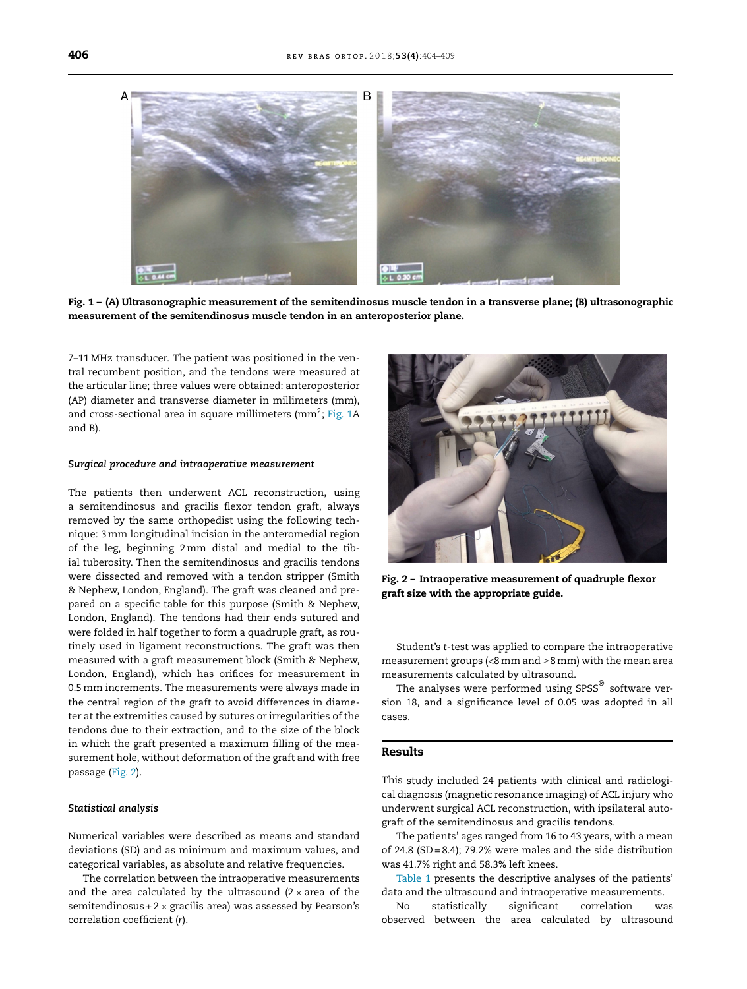

Fig. 1 - (A) Ultrasonographic measurement of the semitendinosus muscle tendon in a transverse plane; (B) ultrasonographic **measurement of the semitendinosus muscle tendon in an anteroposterior plane.**

7–11 MHz transducer. The patient was positioned in the ventral recumbent position, and the tendons were measured at the articular line; three values were obtained: anteroposterior (AP) diameter and transverse diameter in millimeters (mm), and cross-sectional area in square millimeters ( $mm^2$ ; Fig. 1A and B).

#### *Surgical procedure and intraoperative measurement*

The patients then underwent ACL reconstruction, using a semitendinosus and gracilis flexor tendon graft, always removed by the same orthopedist using the following technique: 3mm longitudinal incision in the anteromedial region of the leg, beginning 2mm distal and medial to the tibial tuberosity. Then the semitendinosus and gracilis tendons were dissected and removed with a tendon stripper (Smith & Nephew, London, England). The graft was cleaned and prepared on a specific table for this purpose (Smith & Nephew, London, England). The tendons had their ends sutured and were folded in half together to form a quadruple graft, as routinely used in ligament reconstructions. The graft was then measured with a graft measurement block (Smith & Nephew, London, England), which has orifices for measurement in 0.5mm increments. The measurements were always made in the central region of the graft to avoid differences in diameter at the extremities caused by sutures or irregularities of the tendons due to their extraction, and to the size of the block in which the graft presented a maximum filling of the measurement hole, without deformation of the graft and with free passage (Fig. 2).

#### *Statistical analysis*

Numerical variables were described as means and standard deviations (SD) and as minimum and maximum values, and categorical variables, as absolute and relative frequencies.

The correlation between the intraoperative measurements and the area calculated by the ultrasound  $(2 \times$  area of the semitendinosus +  $2 \times$  gracilis area) was assessed by Pearson's correlation coefficient (*r*).



**Fig. 2 – Intraoperative measurement of quadruple flexor graft size with the appropriate guide.**

Student's *t*-test was applied to compare the intraoperative measurement groups (<8 mm and  $\geq$ 8 mm) with the mean area measurements calculated by ultrasound.

The analyses were performed using SPSS<sup>®</sup> software version 18, and a significance level of 0.05 was adopted in all cases.

#### **Results**

This study included 24 patients with clinical and radiological diagnosis (magnetic resonance imaging) of ACL injury who underwent surgical ACL reconstruction, with ipsilateral autograft of the semitendinosus and gracilis tendons.

The patients' ages ranged from 16 to 43 years, with a mean of 24.8 (SD = 8.4); 79.2% were males and the side distribution was 41.7% right and 58.3% left knees.

[Table](#page-3-0) 1 presents the descriptive analyses of the patients' data and the ultrasound and intraoperative measurements.

No statistically significant correlation was observed between the area calculated by ultrasound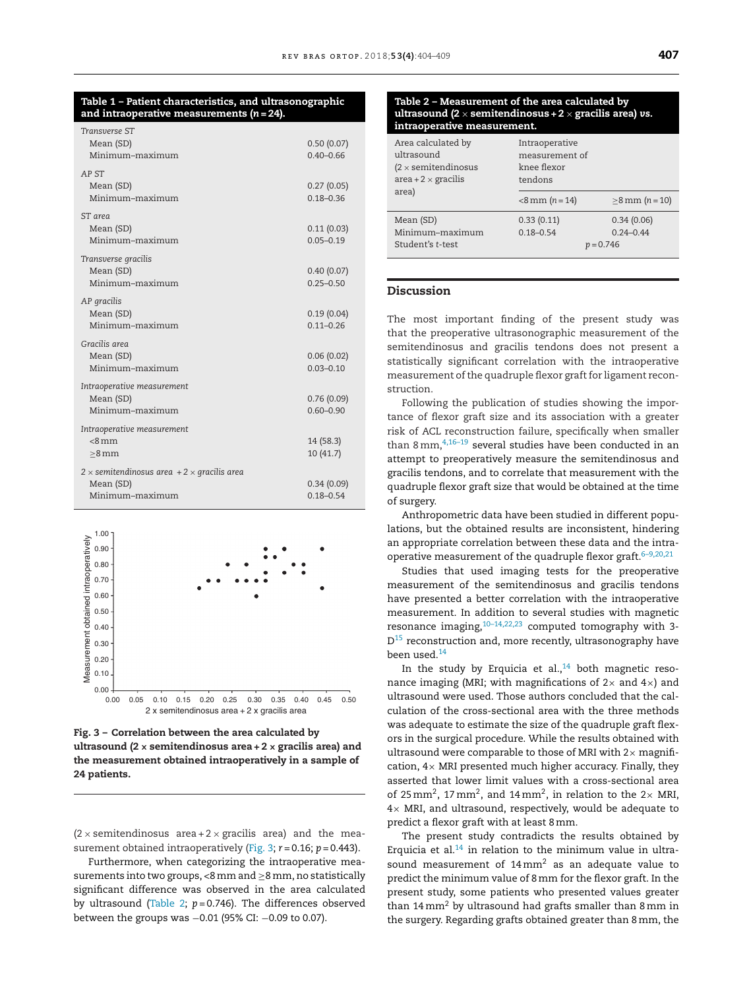#### <span id="page-3-0"></span>**Table 1 – Patient characteristics, and ultrasonographic and intraoperative measurements (***n* **= 24).**

| Transverse ST<br>Mean (SD)                                                               | 0.50(0.07)<br>$0.40 - 0.66$ |
|------------------------------------------------------------------------------------------|-----------------------------|
| Minimum-maximum<br>AP ST                                                                 |                             |
| Mean (SD)<br>Minimum-maximum                                                             | 0.27(0.05)<br>$0,18-0,36$   |
| ST area<br>Mean (SD)<br>Minimum-maximum                                                  | 0.11(0.03)<br>$0.05 - 0.19$ |
| Transverse gracilis<br>Mean (SD)<br>Minimum-maximum                                      | 0.40(0.07)<br>$0.25 - 0.50$ |
| AP gracilis<br>Mean (SD)<br>Minimum-maximum                                              | 0.19(0.04)<br>$0.11 - 0.26$ |
| Gracilis area<br>Mean (SD)<br>Minimum-maximum                                            | 0.06(0.02)<br>$0.03 - 0.10$ |
| Intraoperative measurement<br>Mean (SD)<br>Minimum-maximum                               | 0.76(0.09)<br>$0.60 - 0.90$ |
| Intraoperative measurement<br>$< 8$ mm<br>$>8 \,\mathrm{mm}$                             | 14 (58.3)<br>10 (41.7)      |
| $2 \times$ semitendinosus area +2 $\times$ gracilis area<br>Mean (SD)<br>Minimum-maximum | 0.34(0.09)<br>$0.18 - 0.54$ |



**Fig. 3 – Correlation between the area calculated by ultrasound (2 × semitendinosus area + 2 × gracilis area) and the measurement obtained intraoperatively in a sample of 24 patients.**

 $(2 \times$  semitendinosus area + 2  $\times$  gracilis area) and the measurement obtained intraoperatively (Fig. 3; *r* = 0.16; *p* = 0.443).

Furthermore, when categorizing the intraoperative measurements into two groups, <8 mm and  $\geq$ 8 mm, no statistically significant difference was observed in the area calculated by ultrasound (Table 2; *p* = 0.746). The differences observed between the groups was -0.01 (95% CI: -0.09 to 0.07).

#### **Table 2 – Measurement of the area calculated by ultrasound (2** × **semitendinosus + 2** × **gracilis area)** *vs.* **intraoperative measurement.**

| Area calculated by<br>ultrasound<br>$(2 \times$ semitendinosus<br>$area + 2 \times gradients$<br>area) | Intraoperative<br>measurement of<br>knee flexor<br>tendons |                             |
|--------------------------------------------------------------------------------------------------------|------------------------------------------------------------|-----------------------------|
|                                                                                                        | $< 8$ mm (n = 14)                                          | $\geq 8$ mm (n = 10)        |
| Mean (SD)<br>Minimum-maximum<br>Student's t-test                                                       | 0.33(0.11)<br>$0.18 - 0.54$<br>$p = 0.746$                 | 0.34(0.06)<br>$0.24 - 0.44$ |

## **Discussion**

The most important finding of the present study was that the preoperative ultrasonographic measurement of the semitendinosus and gracilis tendons does not present a statistically significant correlation with the intraoperative measurement of the quadruple flexor graft for ligament reconstruction.

Following the publication of studies showing the importance of flexor graft size and its association with a greater risk of ACL reconstruction failure, specifically when smaller than 8 mm, $4,16-19$  several studies have been conducted in an attempt to preoperatively measure the semitendinosus and gracilis tendons, and to correlate that measurement with the quadruple flexor graft size that would be obtained at the time of surgery.

Anthropometric data have been studied in different populations, but the obtained results are inconsistent, hindering an appropriate correlation between these data and the intraoperative measurement of the quadruple flexor graft. $6-9,20,21$ 

Studies that used imaging tests for the preoperative measurement of the semitendinosus and gracilis tendons have presented a better correlation with the intraoperative measurement. In addition to several studies with magnetic resonance imaging, $10-14,22,23$  computed tomography with 3- $D^{15}$  reconstruction and, more recently, ultrasonography have been used.[14](#page-4-0)

In the study by Erquicia et al., $^{14}$  both magnetic resonance imaging (MRI; with magnifications of  $2\times$  and  $4\times$ ) and ultrasound were used. Those authors concluded that the calculation of the cross-sectional area with the three methods was adequate to estimate the size of the quadruple graft flexors in the surgical procedure. While the results obtained with ultrasound were comparable to those of MRI with  $2\times$  magnification,  $4\times$  MRI presented much higher accuracy. Finally, they asserted that lower limit values with a cross-sectional area of 25 mm<sup>2</sup>, 17 mm<sup>2</sup>, and 14 mm<sup>2</sup>, in relation to the 2 $\times$  MRI, 4× MRI, and ultrasound, respectively, would be adequate to predict a flexor graft with at least 8mm.

The present study contradicts the results obtained by Erquicia et al. $14$  in relation to the minimum value in ultrasound measurement of  $14 \text{ mm}^2$  as an adequate value to predict the minimum value of 8mm for the flexor graft. In the present study, some patients who presented values greater than 14mm2 by ultrasound had grafts smaller than 8mm in the surgery. Regarding grafts obtained greater than 8mm, the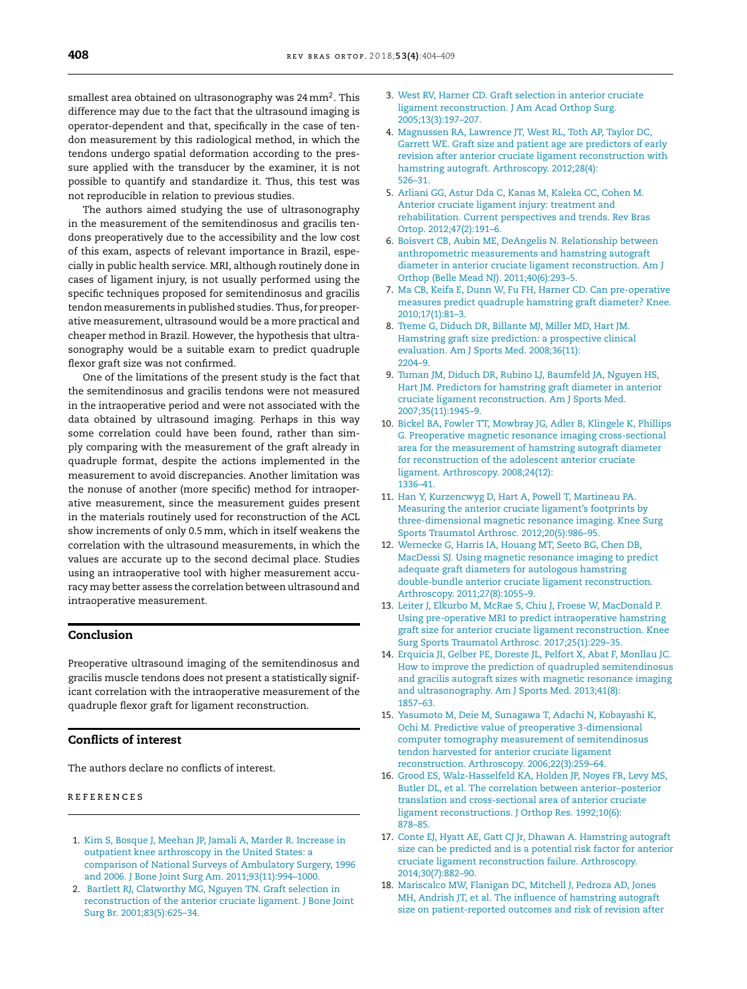<span id="page-4-0"></span>smallest area obtained on ultrasonography was 24mm2. This difference may due to the fact that the ultrasound imaging is operator-dependent and that, specifically in the case of tendon measurement by this radiological method, in which the tendons undergo spatial deformation according to the pressure applied with the transducer by the examiner, it is not possible to quantify and standardize it. Thus, this test was not reproducible in relation to previous studies.

The authors aimed studying the use of ultrasonography in the measurement of the semitendinosus and gracilis tendons preoperatively due to the accessibility and the low cost of this exam, aspects of relevant importance in Brazil, especially in public health service. MRI, although routinely done in cases of ligament injury, is not usually performed using the specific techniques proposed for semitendinosus and gracilis tendon measurements in published studies. Thus, for preoperative measurement, ultrasound would be a more practical and cheaper method in Brazil. However, the hypothesis that ultrasonography would be a suitable exam to predict quadruple flexor graft size was not confirmed.

One of the limitations of the present study is the fact that the semitendinosus and gracilis tendons were not measured in the intraoperative period and were not associated with the data obtained by ultrasound imaging. Perhaps in this way some correlation could have been found, rather than simply comparing with the measurement of the graft already in quadruple format, despite the actions implemented in the measurement to avoid discrepancies. Another limitation was the nonuse of another (more specific) method for intraoperative measurement, since the measurement guides present in the materials routinely used for reconstruction of the ACL show increments of only 0.5mm, which in itself weakens the correlation with the ultrasound measurements, in which the values are accurate up to the second decimal place. Studies using an intraoperative tool with higher measurement accuracy may better assess the correlation between ultrasound and intraoperative measurement.

# **Conclusion**

Preoperative ultrasound imaging of the semitendinosus and gracilis muscle tendons does not present a statistically significant correlation with the intraoperative measurement of the quadruple flexor graft for ligament reconstruction.

# **Conflicts of interest**

The authors declare no conflicts of interest.

#### r e f e r enc e s

- 1. [Kim](http://refhub.elsevier.com/S2255-4971(18)30070-3/sbref0120) [S,](http://refhub.elsevier.com/S2255-4971(18)30070-3/sbref0120) [Bosque](http://refhub.elsevier.com/S2255-4971(18)30070-3/sbref0120) [J,](http://refhub.elsevier.com/S2255-4971(18)30070-3/sbref0120) [Meehan](http://refhub.elsevier.com/S2255-4971(18)30070-3/sbref0120) [JP,](http://refhub.elsevier.com/S2255-4971(18)30070-3/sbref0120) [Jamali](http://refhub.elsevier.com/S2255-4971(18)30070-3/sbref0120) [A,](http://refhub.elsevier.com/S2255-4971(18)30070-3/sbref0120) [Marder](http://refhub.elsevier.com/S2255-4971(18)30070-3/sbref0120) [R.](http://refhub.elsevier.com/S2255-4971(18)30070-3/sbref0120) [Increase](http://refhub.elsevier.com/S2255-4971(18)30070-3/sbref0120) [in](http://refhub.elsevier.com/S2255-4971(18)30070-3/sbref0120) [outpatient](http://refhub.elsevier.com/S2255-4971(18)30070-3/sbref0120) [knee](http://refhub.elsevier.com/S2255-4971(18)30070-3/sbref0120) [arthroscopy](http://refhub.elsevier.com/S2255-4971(18)30070-3/sbref0120) [in](http://refhub.elsevier.com/S2255-4971(18)30070-3/sbref0120) [the](http://refhub.elsevier.com/S2255-4971(18)30070-3/sbref0120) [United](http://refhub.elsevier.com/S2255-4971(18)30070-3/sbref0120) [States:](http://refhub.elsevier.com/S2255-4971(18)30070-3/sbref0120) [a](http://refhub.elsevier.com/S2255-4971(18)30070-3/sbref0120) [comparison](http://refhub.elsevier.com/S2255-4971(18)30070-3/sbref0120) [of](http://refhub.elsevier.com/S2255-4971(18)30070-3/sbref0120) [National](http://refhub.elsevier.com/S2255-4971(18)30070-3/sbref0120) [Surveys](http://refhub.elsevier.com/S2255-4971(18)30070-3/sbref0120) [of](http://refhub.elsevier.com/S2255-4971(18)30070-3/sbref0120) [Ambulatory](http://refhub.elsevier.com/S2255-4971(18)30070-3/sbref0120) [Surgery,](http://refhub.elsevier.com/S2255-4971(18)30070-3/sbref0120) [1996](http://refhub.elsevier.com/S2255-4971(18)30070-3/sbref0120) [and](http://refhub.elsevier.com/S2255-4971(18)30070-3/sbref0120) [2006.](http://refhub.elsevier.com/S2255-4971(18)30070-3/sbref0120) [J](http://refhub.elsevier.com/S2255-4971(18)30070-3/sbref0120) [Bone](http://refhub.elsevier.com/S2255-4971(18)30070-3/sbref0120) [Joint](http://refhub.elsevier.com/S2255-4971(18)30070-3/sbref0120) [Surg](http://refhub.elsevier.com/S2255-4971(18)30070-3/sbref0120) [Am.](http://refhub.elsevier.com/S2255-4971(18)30070-3/sbref0120) [2011;93\(11\):994](http://refhub.elsevier.com/S2255-4971(18)30070-3/sbref0120)–[1000.](http://refhub.elsevier.com/S2255-4971(18)30070-3/sbref0120)
- 2. [Bartlett](http://refhub.elsevier.com/S2255-4971(18)30070-3/sbref0125) [RJ,](http://refhub.elsevier.com/S2255-4971(18)30070-3/sbref0125) [Clatworthy](http://refhub.elsevier.com/S2255-4971(18)30070-3/sbref0125) [MG,](http://refhub.elsevier.com/S2255-4971(18)30070-3/sbref0125) [Nguyen](http://refhub.elsevier.com/S2255-4971(18)30070-3/sbref0125) [TN.](http://refhub.elsevier.com/S2255-4971(18)30070-3/sbref0125) [Graft](http://refhub.elsevier.com/S2255-4971(18)30070-3/sbref0125) [selection](http://refhub.elsevier.com/S2255-4971(18)30070-3/sbref0125) [in](http://refhub.elsevier.com/S2255-4971(18)30070-3/sbref0125) [reconstruction](http://refhub.elsevier.com/S2255-4971(18)30070-3/sbref0125) [of](http://refhub.elsevier.com/S2255-4971(18)30070-3/sbref0125) [the](http://refhub.elsevier.com/S2255-4971(18)30070-3/sbref0125) [anterior](http://refhub.elsevier.com/S2255-4971(18)30070-3/sbref0125) [cruciate](http://refhub.elsevier.com/S2255-4971(18)30070-3/sbref0125) [ligament.](http://refhub.elsevier.com/S2255-4971(18)30070-3/sbref0125) [J](http://refhub.elsevier.com/S2255-4971(18)30070-3/sbref0125) [Bone](http://refhub.elsevier.com/S2255-4971(18)30070-3/sbref0125) [Joint](http://refhub.elsevier.com/S2255-4971(18)30070-3/sbref0125) [Surg](http://refhub.elsevier.com/S2255-4971(18)30070-3/sbref0125) [Br.](http://refhub.elsevier.com/S2255-4971(18)30070-3/sbref0125) [2001;83\(5\):625](http://refhub.elsevier.com/S2255-4971(18)30070-3/sbref0125)–[34.](http://refhub.elsevier.com/S2255-4971(18)30070-3/sbref0125)
- 3. [West](http://refhub.elsevier.com/S2255-4971(18)30070-3/sbref0130) [RV,](http://refhub.elsevier.com/S2255-4971(18)30070-3/sbref0130) [Harner](http://refhub.elsevier.com/S2255-4971(18)30070-3/sbref0130) [CD.](http://refhub.elsevier.com/S2255-4971(18)30070-3/sbref0130) [Graft](http://refhub.elsevier.com/S2255-4971(18)30070-3/sbref0130) [selection](http://refhub.elsevier.com/S2255-4971(18)30070-3/sbref0130) [in](http://refhub.elsevier.com/S2255-4971(18)30070-3/sbref0130) [anterior](http://refhub.elsevier.com/S2255-4971(18)30070-3/sbref0130) [cruciate](http://refhub.elsevier.com/S2255-4971(18)30070-3/sbref0130) [ligament](http://refhub.elsevier.com/S2255-4971(18)30070-3/sbref0130) [reconstruction.](http://refhub.elsevier.com/S2255-4971(18)30070-3/sbref0130) [J](http://refhub.elsevier.com/S2255-4971(18)30070-3/sbref0130) [Am](http://refhub.elsevier.com/S2255-4971(18)30070-3/sbref0130) [Acad](http://refhub.elsevier.com/S2255-4971(18)30070-3/sbref0130) [Orthop](http://refhub.elsevier.com/S2255-4971(18)30070-3/sbref0130) [Surg.](http://refhub.elsevier.com/S2255-4971(18)30070-3/sbref0130) [2005;13\(3\):197–207.](http://refhub.elsevier.com/S2255-4971(18)30070-3/sbref0130)
- 4. [Magnussen](http://refhub.elsevier.com/S2255-4971(18)30070-3/sbref0135) [RA,](http://refhub.elsevier.com/S2255-4971(18)30070-3/sbref0135) [Lawrence](http://refhub.elsevier.com/S2255-4971(18)30070-3/sbref0135) [JT,](http://refhub.elsevier.com/S2255-4971(18)30070-3/sbref0135) [West](http://refhub.elsevier.com/S2255-4971(18)30070-3/sbref0135) [RL,](http://refhub.elsevier.com/S2255-4971(18)30070-3/sbref0135) [Toth](http://refhub.elsevier.com/S2255-4971(18)30070-3/sbref0135) [AP,](http://refhub.elsevier.com/S2255-4971(18)30070-3/sbref0135) [Taylor](http://refhub.elsevier.com/S2255-4971(18)30070-3/sbref0135) [DC,](http://refhub.elsevier.com/S2255-4971(18)30070-3/sbref0135) [Garrett](http://refhub.elsevier.com/S2255-4971(18)30070-3/sbref0135) [WE.](http://refhub.elsevier.com/S2255-4971(18)30070-3/sbref0135) [Graft](http://refhub.elsevier.com/S2255-4971(18)30070-3/sbref0135) [size](http://refhub.elsevier.com/S2255-4971(18)30070-3/sbref0135) [and](http://refhub.elsevier.com/S2255-4971(18)30070-3/sbref0135) [patient](http://refhub.elsevier.com/S2255-4971(18)30070-3/sbref0135) [age](http://refhub.elsevier.com/S2255-4971(18)30070-3/sbref0135) [are](http://refhub.elsevier.com/S2255-4971(18)30070-3/sbref0135) [predictors](http://refhub.elsevier.com/S2255-4971(18)30070-3/sbref0135) [of](http://refhub.elsevier.com/S2255-4971(18)30070-3/sbref0135) [early](http://refhub.elsevier.com/S2255-4971(18)30070-3/sbref0135) [revision](http://refhub.elsevier.com/S2255-4971(18)30070-3/sbref0135) [after](http://refhub.elsevier.com/S2255-4971(18)30070-3/sbref0135) [anterior](http://refhub.elsevier.com/S2255-4971(18)30070-3/sbref0135) [cruciate](http://refhub.elsevier.com/S2255-4971(18)30070-3/sbref0135) [ligament](http://refhub.elsevier.com/S2255-4971(18)30070-3/sbref0135) [reconstruction](http://refhub.elsevier.com/S2255-4971(18)30070-3/sbref0135) [with](http://refhub.elsevier.com/S2255-4971(18)30070-3/sbref0135) [hamstring](http://refhub.elsevier.com/S2255-4971(18)30070-3/sbref0135) [autograft.](http://refhub.elsevier.com/S2255-4971(18)30070-3/sbref0135) [Arthroscopy.](http://refhub.elsevier.com/S2255-4971(18)30070-3/sbref0135) [2012;28\(4\):](http://refhub.elsevier.com/S2255-4971(18)30070-3/sbref0135) [526–31.](http://refhub.elsevier.com/S2255-4971(18)30070-3/sbref0135)
- 5. [Arliani](http://refhub.elsevier.com/S2255-4971(18)30070-3/sbref0140) [GG,](http://refhub.elsevier.com/S2255-4971(18)30070-3/sbref0140) [Astur](http://refhub.elsevier.com/S2255-4971(18)30070-3/sbref0140) [Dda](http://refhub.elsevier.com/S2255-4971(18)30070-3/sbref0140) [C,](http://refhub.elsevier.com/S2255-4971(18)30070-3/sbref0140) [Kanas](http://refhub.elsevier.com/S2255-4971(18)30070-3/sbref0140) [M,](http://refhub.elsevier.com/S2255-4971(18)30070-3/sbref0140) [Kaleka](http://refhub.elsevier.com/S2255-4971(18)30070-3/sbref0140) [CC,](http://refhub.elsevier.com/S2255-4971(18)30070-3/sbref0140) [Cohen](http://refhub.elsevier.com/S2255-4971(18)30070-3/sbref0140) [M.](http://refhub.elsevier.com/S2255-4971(18)30070-3/sbref0140) [Anterior](http://refhub.elsevier.com/S2255-4971(18)30070-3/sbref0140) [cruciate](http://refhub.elsevier.com/S2255-4971(18)30070-3/sbref0140) [ligament](http://refhub.elsevier.com/S2255-4971(18)30070-3/sbref0140) [injury:](http://refhub.elsevier.com/S2255-4971(18)30070-3/sbref0140) [treatment](http://refhub.elsevier.com/S2255-4971(18)30070-3/sbref0140) [and](http://refhub.elsevier.com/S2255-4971(18)30070-3/sbref0140) [rehabilitation.](http://refhub.elsevier.com/S2255-4971(18)30070-3/sbref0140) [Current](http://refhub.elsevier.com/S2255-4971(18)30070-3/sbref0140) [perspectives](http://refhub.elsevier.com/S2255-4971(18)30070-3/sbref0140) [and](http://refhub.elsevier.com/S2255-4971(18)30070-3/sbref0140) [trends.](http://refhub.elsevier.com/S2255-4971(18)30070-3/sbref0140) [Rev](http://refhub.elsevier.com/S2255-4971(18)30070-3/sbref0140) [Bras](http://refhub.elsevier.com/S2255-4971(18)30070-3/sbref0140) [Ortop.](http://refhub.elsevier.com/S2255-4971(18)30070-3/sbref0140) [2012;47\(2\):191–6.](http://refhub.elsevier.com/S2255-4971(18)30070-3/sbref0140)
- 6. [Boisvert](http://refhub.elsevier.com/S2255-4971(18)30070-3/sbref0145) [CB,](http://refhub.elsevier.com/S2255-4971(18)30070-3/sbref0145) [Aubin](http://refhub.elsevier.com/S2255-4971(18)30070-3/sbref0145) [ME,](http://refhub.elsevier.com/S2255-4971(18)30070-3/sbref0145) [DeAngelis](http://refhub.elsevier.com/S2255-4971(18)30070-3/sbref0145) [N.](http://refhub.elsevier.com/S2255-4971(18)30070-3/sbref0145) [Relationship](http://refhub.elsevier.com/S2255-4971(18)30070-3/sbref0145) [between](http://refhub.elsevier.com/S2255-4971(18)30070-3/sbref0145) [anthropometric](http://refhub.elsevier.com/S2255-4971(18)30070-3/sbref0145) [measurements](http://refhub.elsevier.com/S2255-4971(18)30070-3/sbref0145) [and](http://refhub.elsevier.com/S2255-4971(18)30070-3/sbref0145) [hamstring](http://refhub.elsevier.com/S2255-4971(18)30070-3/sbref0145) [autograft](http://refhub.elsevier.com/S2255-4971(18)30070-3/sbref0145) [diameter](http://refhub.elsevier.com/S2255-4971(18)30070-3/sbref0145) [in](http://refhub.elsevier.com/S2255-4971(18)30070-3/sbref0145) [anterior](http://refhub.elsevier.com/S2255-4971(18)30070-3/sbref0145) [cruciate](http://refhub.elsevier.com/S2255-4971(18)30070-3/sbref0145) [ligament](http://refhub.elsevier.com/S2255-4971(18)30070-3/sbref0145) [reconstruction.](http://refhub.elsevier.com/S2255-4971(18)30070-3/sbref0145) [Am](http://refhub.elsevier.com/S2255-4971(18)30070-3/sbref0145) [J](http://refhub.elsevier.com/S2255-4971(18)30070-3/sbref0145) [Orthop](http://refhub.elsevier.com/S2255-4971(18)30070-3/sbref0145) [\(Belle](http://refhub.elsevier.com/S2255-4971(18)30070-3/sbref0145) [Mead](http://refhub.elsevier.com/S2255-4971(18)30070-3/sbref0145) [NJ\).](http://refhub.elsevier.com/S2255-4971(18)30070-3/sbref0145) [2011;40\(6\):293](http://refhub.elsevier.com/S2255-4971(18)30070-3/sbref0145)–[5.](http://refhub.elsevier.com/S2255-4971(18)30070-3/sbref0145)
- 7. [Ma](http://refhub.elsevier.com/S2255-4971(18)30070-3/sbref0150) [CB,](http://refhub.elsevier.com/S2255-4971(18)30070-3/sbref0150) [Keifa](http://refhub.elsevier.com/S2255-4971(18)30070-3/sbref0150) [E,](http://refhub.elsevier.com/S2255-4971(18)30070-3/sbref0150) [Dunn](http://refhub.elsevier.com/S2255-4971(18)30070-3/sbref0150) [W,](http://refhub.elsevier.com/S2255-4971(18)30070-3/sbref0150) [Fu](http://refhub.elsevier.com/S2255-4971(18)30070-3/sbref0150) [FH,](http://refhub.elsevier.com/S2255-4971(18)30070-3/sbref0150) [Harner](http://refhub.elsevier.com/S2255-4971(18)30070-3/sbref0150) [CD.](http://refhub.elsevier.com/S2255-4971(18)30070-3/sbref0150) [Can](http://refhub.elsevier.com/S2255-4971(18)30070-3/sbref0150) [pre-operative](http://refhub.elsevier.com/S2255-4971(18)30070-3/sbref0150) [measures](http://refhub.elsevier.com/S2255-4971(18)30070-3/sbref0150) [predict](http://refhub.elsevier.com/S2255-4971(18)30070-3/sbref0150) [quadruple](http://refhub.elsevier.com/S2255-4971(18)30070-3/sbref0150) [hamstring](http://refhub.elsevier.com/S2255-4971(18)30070-3/sbref0150) [graft](http://refhub.elsevier.com/S2255-4971(18)30070-3/sbref0150) [diameter?](http://refhub.elsevier.com/S2255-4971(18)30070-3/sbref0150) [Knee.](http://refhub.elsevier.com/S2255-4971(18)30070-3/sbref0150) [2010;17\(1\):81](http://refhub.elsevier.com/S2255-4971(18)30070-3/sbref0150)–[3.](http://refhub.elsevier.com/S2255-4971(18)30070-3/sbref0150)
- 8. [Treme](http://refhub.elsevier.com/S2255-4971(18)30070-3/sbref0155) [G,](http://refhub.elsevier.com/S2255-4971(18)30070-3/sbref0155) [Diduch](http://refhub.elsevier.com/S2255-4971(18)30070-3/sbref0155) [DR,](http://refhub.elsevier.com/S2255-4971(18)30070-3/sbref0155) [Billante](http://refhub.elsevier.com/S2255-4971(18)30070-3/sbref0155) [MJ,](http://refhub.elsevier.com/S2255-4971(18)30070-3/sbref0155) [Miller](http://refhub.elsevier.com/S2255-4971(18)30070-3/sbref0155) [MD,](http://refhub.elsevier.com/S2255-4971(18)30070-3/sbref0155) [Hart](http://refhub.elsevier.com/S2255-4971(18)30070-3/sbref0155) [JM.](http://refhub.elsevier.com/S2255-4971(18)30070-3/sbref0155) [Hamstring](http://refhub.elsevier.com/S2255-4971(18)30070-3/sbref0155) [graft](http://refhub.elsevier.com/S2255-4971(18)30070-3/sbref0155) [size](http://refhub.elsevier.com/S2255-4971(18)30070-3/sbref0155) [prediction:](http://refhub.elsevier.com/S2255-4971(18)30070-3/sbref0155) [a](http://refhub.elsevier.com/S2255-4971(18)30070-3/sbref0155) [prospective](http://refhub.elsevier.com/S2255-4971(18)30070-3/sbref0155) [clinical](http://refhub.elsevier.com/S2255-4971(18)30070-3/sbref0155) [evaluation.](http://refhub.elsevier.com/S2255-4971(18)30070-3/sbref0155) [Am](http://refhub.elsevier.com/S2255-4971(18)30070-3/sbref0155) [J](http://refhub.elsevier.com/S2255-4971(18)30070-3/sbref0155) [Sports](http://refhub.elsevier.com/S2255-4971(18)30070-3/sbref0155) [Med.](http://refhub.elsevier.com/S2255-4971(18)30070-3/sbref0155) [2008;36\(11\):](http://refhub.elsevier.com/S2255-4971(18)30070-3/sbref0155) [2204–9.](http://refhub.elsevier.com/S2255-4971(18)30070-3/sbref0155)
- 9. [Tuman](http://refhub.elsevier.com/S2255-4971(18)30070-3/sbref0160) [JM,](http://refhub.elsevier.com/S2255-4971(18)30070-3/sbref0160) [Diduch](http://refhub.elsevier.com/S2255-4971(18)30070-3/sbref0160) [DR,](http://refhub.elsevier.com/S2255-4971(18)30070-3/sbref0160) [Rubino](http://refhub.elsevier.com/S2255-4971(18)30070-3/sbref0160) [LJ,](http://refhub.elsevier.com/S2255-4971(18)30070-3/sbref0160) [Baumfeld](http://refhub.elsevier.com/S2255-4971(18)30070-3/sbref0160) [JA,](http://refhub.elsevier.com/S2255-4971(18)30070-3/sbref0160) [Nguyen](http://refhub.elsevier.com/S2255-4971(18)30070-3/sbref0160) [HS,](http://refhub.elsevier.com/S2255-4971(18)30070-3/sbref0160) [Hart](http://refhub.elsevier.com/S2255-4971(18)30070-3/sbref0160) [JM.](http://refhub.elsevier.com/S2255-4971(18)30070-3/sbref0160) [Predictors](http://refhub.elsevier.com/S2255-4971(18)30070-3/sbref0160) [for](http://refhub.elsevier.com/S2255-4971(18)30070-3/sbref0160) [hamstring](http://refhub.elsevier.com/S2255-4971(18)30070-3/sbref0160) [graft](http://refhub.elsevier.com/S2255-4971(18)30070-3/sbref0160) [diameter](http://refhub.elsevier.com/S2255-4971(18)30070-3/sbref0160) [in](http://refhub.elsevier.com/S2255-4971(18)30070-3/sbref0160) [anterior](http://refhub.elsevier.com/S2255-4971(18)30070-3/sbref0160) [cruciate](http://refhub.elsevier.com/S2255-4971(18)30070-3/sbref0160) [ligament](http://refhub.elsevier.com/S2255-4971(18)30070-3/sbref0160) [reconstruction.](http://refhub.elsevier.com/S2255-4971(18)30070-3/sbref0160) [Am](http://refhub.elsevier.com/S2255-4971(18)30070-3/sbref0160) [J](http://refhub.elsevier.com/S2255-4971(18)30070-3/sbref0160) [Sports](http://refhub.elsevier.com/S2255-4971(18)30070-3/sbref0160) [Med.](http://refhub.elsevier.com/S2255-4971(18)30070-3/sbref0160) [2007;35\(11\):1945–9.](http://refhub.elsevier.com/S2255-4971(18)30070-3/sbref0160)
- 10. [Bickel](http://refhub.elsevier.com/S2255-4971(18)30070-3/sbref0165) [BA,](http://refhub.elsevier.com/S2255-4971(18)30070-3/sbref0165) [Fowler](http://refhub.elsevier.com/S2255-4971(18)30070-3/sbref0165) [TT,](http://refhub.elsevier.com/S2255-4971(18)30070-3/sbref0165) [Mowbray](http://refhub.elsevier.com/S2255-4971(18)30070-3/sbref0165) [JG,](http://refhub.elsevier.com/S2255-4971(18)30070-3/sbref0165) [Adler](http://refhub.elsevier.com/S2255-4971(18)30070-3/sbref0165) [B,](http://refhub.elsevier.com/S2255-4971(18)30070-3/sbref0165) [Klingele](http://refhub.elsevier.com/S2255-4971(18)30070-3/sbref0165) [K,](http://refhub.elsevier.com/S2255-4971(18)30070-3/sbref0165) [Phillips](http://refhub.elsevier.com/S2255-4971(18)30070-3/sbref0165) [G.](http://refhub.elsevier.com/S2255-4971(18)30070-3/sbref0165) [Preoperative](http://refhub.elsevier.com/S2255-4971(18)30070-3/sbref0165) [magnetic](http://refhub.elsevier.com/S2255-4971(18)30070-3/sbref0165) [resonance](http://refhub.elsevier.com/S2255-4971(18)30070-3/sbref0165) [imaging](http://refhub.elsevier.com/S2255-4971(18)30070-3/sbref0165) [cross-sectional](http://refhub.elsevier.com/S2255-4971(18)30070-3/sbref0165) [area](http://refhub.elsevier.com/S2255-4971(18)30070-3/sbref0165) [for](http://refhub.elsevier.com/S2255-4971(18)30070-3/sbref0165) [the](http://refhub.elsevier.com/S2255-4971(18)30070-3/sbref0165) [measurement](http://refhub.elsevier.com/S2255-4971(18)30070-3/sbref0165) [of](http://refhub.elsevier.com/S2255-4971(18)30070-3/sbref0165) [hamstring](http://refhub.elsevier.com/S2255-4971(18)30070-3/sbref0165) [autograft](http://refhub.elsevier.com/S2255-4971(18)30070-3/sbref0165) [diameter](http://refhub.elsevier.com/S2255-4971(18)30070-3/sbref0165) [for](http://refhub.elsevier.com/S2255-4971(18)30070-3/sbref0165) [reconstruction](http://refhub.elsevier.com/S2255-4971(18)30070-3/sbref0165) [of](http://refhub.elsevier.com/S2255-4971(18)30070-3/sbref0165) [the](http://refhub.elsevier.com/S2255-4971(18)30070-3/sbref0165) [adolescent](http://refhub.elsevier.com/S2255-4971(18)30070-3/sbref0165) [anterior](http://refhub.elsevier.com/S2255-4971(18)30070-3/sbref0165) [cruciate](http://refhub.elsevier.com/S2255-4971(18)30070-3/sbref0165) [ligament.](http://refhub.elsevier.com/S2255-4971(18)30070-3/sbref0165) [Arthroscopy.](http://refhub.elsevier.com/S2255-4971(18)30070-3/sbref0165) [2008;24\(12\):](http://refhub.elsevier.com/S2255-4971(18)30070-3/sbref0165) [1336–41.](http://refhub.elsevier.com/S2255-4971(18)30070-3/sbref0165)
- 11. [Han](http://refhub.elsevier.com/S2255-4971(18)30070-3/sbref0170) [Y,](http://refhub.elsevier.com/S2255-4971(18)30070-3/sbref0170) [Kurzencwyg](http://refhub.elsevier.com/S2255-4971(18)30070-3/sbref0170) [D,](http://refhub.elsevier.com/S2255-4971(18)30070-3/sbref0170) [Hart](http://refhub.elsevier.com/S2255-4971(18)30070-3/sbref0170) [A,](http://refhub.elsevier.com/S2255-4971(18)30070-3/sbref0170) [Powell](http://refhub.elsevier.com/S2255-4971(18)30070-3/sbref0170) [T,](http://refhub.elsevier.com/S2255-4971(18)30070-3/sbref0170) [Martineau](http://refhub.elsevier.com/S2255-4971(18)30070-3/sbref0170) [PA.](http://refhub.elsevier.com/S2255-4971(18)30070-3/sbref0170) [Measuring](http://refhub.elsevier.com/S2255-4971(18)30070-3/sbref0170) [the](http://refhub.elsevier.com/S2255-4971(18)30070-3/sbref0170) [anterior](http://refhub.elsevier.com/S2255-4971(18)30070-3/sbref0170) [cruciate](http://refhub.elsevier.com/S2255-4971(18)30070-3/sbref0170) [ligament's](http://refhub.elsevier.com/S2255-4971(18)30070-3/sbref0170) [footprints](http://refhub.elsevier.com/S2255-4971(18)30070-3/sbref0170) [by](http://refhub.elsevier.com/S2255-4971(18)30070-3/sbref0170) [three-dimensional](http://refhub.elsevier.com/S2255-4971(18)30070-3/sbref0170) [magnetic](http://refhub.elsevier.com/S2255-4971(18)30070-3/sbref0170) [resonance](http://refhub.elsevier.com/S2255-4971(18)30070-3/sbref0170) [imaging.](http://refhub.elsevier.com/S2255-4971(18)30070-3/sbref0170) [Knee](http://refhub.elsevier.com/S2255-4971(18)30070-3/sbref0170) [Surg](http://refhub.elsevier.com/S2255-4971(18)30070-3/sbref0170) [Sports](http://refhub.elsevier.com/S2255-4971(18)30070-3/sbref0170) [Traumatol](http://refhub.elsevier.com/S2255-4971(18)30070-3/sbref0170) [Arthrosc.](http://refhub.elsevier.com/S2255-4971(18)30070-3/sbref0170) [2012;20\(5\):986–95.](http://refhub.elsevier.com/S2255-4971(18)30070-3/sbref0170)
- 12. [Wernecke](http://refhub.elsevier.com/S2255-4971(18)30070-3/sbref0175) [G,](http://refhub.elsevier.com/S2255-4971(18)30070-3/sbref0175) [Harris](http://refhub.elsevier.com/S2255-4971(18)30070-3/sbref0175) [IA,](http://refhub.elsevier.com/S2255-4971(18)30070-3/sbref0175) [Houang](http://refhub.elsevier.com/S2255-4971(18)30070-3/sbref0175) [MT,](http://refhub.elsevier.com/S2255-4971(18)30070-3/sbref0175) [Seeto](http://refhub.elsevier.com/S2255-4971(18)30070-3/sbref0175) [BG,](http://refhub.elsevier.com/S2255-4971(18)30070-3/sbref0175) [Chen](http://refhub.elsevier.com/S2255-4971(18)30070-3/sbref0175) [DB,](http://refhub.elsevier.com/S2255-4971(18)30070-3/sbref0175) [MacDessi](http://refhub.elsevier.com/S2255-4971(18)30070-3/sbref0175) [SJ.](http://refhub.elsevier.com/S2255-4971(18)30070-3/sbref0175) [Using](http://refhub.elsevier.com/S2255-4971(18)30070-3/sbref0175) [magnetic](http://refhub.elsevier.com/S2255-4971(18)30070-3/sbref0175) [resonance](http://refhub.elsevier.com/S2255-4971(18)30070-3/sbref0175) [imaging](http://refhub.elsevier.com/S2255-4971(18)30070-3/sbref0175) [to](http://refhub.elsevier.com/S2255-4971(18)30070-3/sbref0175) [predict](http://refhub.elsevier.com/S2255-4971(18)30070-3/sbref0175) [adequate](http://refhub.elsevier.com/S2255-4971(18)30070-3/sbref0175) [graft](http://refhub.elsevier.com/S2255-4971(18)30070-3/sbref0175) [diameters](http://refhub.elsevier.com/S2255-4971(18)30070-3/sbref0175) [for](http://refhub.elsevier.com/S2255-4971(18)30070-3/sbref0175) [autologous](http://refhub.elsevier.com/S2255-4971(18)30070-3/sbref0175) [hamstring](http://refhub.elsevier.com/S2255-4971(18)30070-3/sbref0175) [double-bundle](http://refhub.elsevier.com/S2255-4971(18)30070-3/sbref0175) [anterior](http://refhub.elsevier.com/S2255-4971(18)30070-3/sbref0175) [cruciate](http://refhub.elsevier.com/S2255-4971(18)30070-3/sbref0175) [ligament](http://refhub.elsevier.com/S2255-4971(18)30070-3/sbref0175) [reconstruction.](http://refhub.elsevier.com/S2255-4971(18)30070-3/sbref0175) [Arthroscopy.](http://refhub.elsevier.com/S2255-4971(18)30070-3/sbref0175) [2011;27\(8\):1055](http://refhub.elsevier.com/S2255-4971(18)30070-3/sbref0175)–[9.](http://refhub.elsevier.com/S2255-4971(18)30070-3/sbref0175)
- 13. [Leiter](http://refhub.elsevier.com/S2255-4971(18)30070-3/sbref0180) [J,](http://refhub.elsevier.com/S2255-4971(18)30070-3/sbref0180) [Elkurbo](http://refhub.elsevier.com/S2255-4971(18)30070-3/sbref0180) [M,](http://refhub.elsevier.com/S2255-4971(18)30070-3/sbref0180) [McRae](http://refhub.elsevier.com/S2255-4971(18)30070-3/sbref0180) [S,](http://refhub.elsevier.com/S2255-4971(18)30070-3/sbref0180) [Chiu](http://refhub.elsevier.com/S2255-4971(18)30070-3/sbref0180) [J,](http://refhub.elsevier.com/S2255-4971(18)30070-3/sbref0180) [Froese](http://refhub.elsevier.com/S2255-4971(18)30070-3/sbref0180) [W,](http://refhub.elsevier.com/S2255-4971(18)30070-3/sbref0180) [MacDonald](http://refhub.elsevier.com/S2255-4971(18)30070-3/sbref0180) [P.](http://refhub.elsevier.com/S2255-4971(18)30070-3/sbref0180) [Using](http://refhub.elsevier.com/S2255-4971(18)30070-3/sbref0180) [pre-operative](http://refhub.elsevier.com/S2255-4971(18)30070-3/sbref0180) [MRI](http://refhub.elsevier.com/S2255-4971(18)30070-3/sbref0180) [to](http://refhub.elsevier.com/S2255-4971(18)30070-3/sbref0180) [predict](http://refhub.elsevier.com/S2255-4971(18)30070-3/sbref0180) [intraoperative](http://refhub.elsevier.com/S2255-4971(18)30070-3/sbref0180) [hamstring](http://refhub.elsevier.com/S2255-4971(18)30070-3/sbref0180) [graft](http://refhub.elsevier.com/S2255-4971(18)30070-3/sbref0180) [size](http://refhub.elsevier.com/S2255-4971(18)30070-3/sbref0180) [for](http://refhub.elsevier.com/S2255-4971(18)30070-3/sbref0180) [anterior](http://refhub.elsevier.com/S2255-4971(18)30070-3/sbref0180) [cruciate](http://refhub.elsevier.com/S2255-4971(18)30070-3/sbref0180) [ligament](http://refhub.elsevier.com/S2255-4971(18)30070-3/sbref0180) [reconstruction.](http://refhub.elsevier.com/S2255-4971(18)30070-3/sbref0180) [Knee](http://refhub.elsevier.com/S2255-4971(18)30070-3/sbref0180) [Surg](http://refhub.elsevier.com/S2255-4971(18)30070-3/sbref0180) [Sports](http://refhub.elsevier.com/S2255-4971(18)30070-3/sbref0180) [Traumatol](http://refhub.elsevier.com/S2255-4971(18)30070-3/sbref0180) [Arthrosc.](http://refhub.elsevier.com/S2255-4971(18)30070-3/sbref0180) [2017;25\(1\):229–35.](http://refhub.elsevier.com/S2255-4971(18)30070-3/sbref0180)
- 14. [Erquicia](http://refhub.elsevier.com/S2255-4971(18)30070-3/sbref0185) [JI,](http://refhub.elsevier.com/S2255-4971(18)30070-3/sbref0185) [Gelber](http://refhub.elsevier.com/S2255-4971(18)30070-3/sbref0185) [PE,](http://refhub.elsevier.com/S2255-4971(18)30070-3/sbref0185) [Doreste](http://refhub.elsevier.com/S2255-4971(18)30070-3/sbref0185) [JL,](http://refhub.elsevier.com/S2255-4971(18)30070-3/sbref0185) [Pelfort](http://refhub.elsevier.com/S2255-4971(18)30070-3/sbref0185) [X,](http://refhub.elsevier.com/S2255-4971(18)30070-3/sbref0185) [Abat](http://refhub.elsevier.com/S2255-4971(18)30070-3/sbref0185) [F,](http://refhub.elsevier.com/S2255-4971(18)30070-3/sbref0185) [Monllau](http://refhub.elsevier.com/S2255-4971(18)30070-3/sbref0185) [JC.](http://refhub.elsevier.com/S2255-4971(18)30070-3/sbref0185) [How](http://refhub.elsevier.com/S2255-4971(18)30070-3/sbref0185) [to](http://refhub.elsevier.com/S2255-4971(18)30070-3/sbref0185) [improve](http://refhub.elsevier.com/S2255-4971(18)30070-3/sbref0185) [the](http://refhub.elsevier.com/S2255-4971(18)30070-3/sbref0185) [prediction](http://refhub.elsevier.com/S2255-4971(18)30070-3/sbref0185) [of](http://refhub.elsevier.com/S2255-4971(18)30070-3/sbref0185) [quadrupled](http://refhub.elsevier.com/S2255-4971(18)30070-3/sbref0185) [semitendinosus](http://refhub.elsevier.com/S2255-4971(18)30070-3/sbref0185) [and](http://refhub.elsevier.com/S2255-4971(18)30070-3/sbref0185) [gracilis](http://refhub.elsevier.com/S2255-4971(18)30070-3/sbref0185) [autograft](http://refhub.elsevier.com/S2255-4971(18)30070-3/sbref0185) [sizes](http://refhub.elsevier.com/S2255-4971(18)30070-3/sbref0185) [with](http://refhub.elsevier.com/S2255-4971(18)30070-3/sbref0185) [magnetic](http://refhub.elsevier.com/S2255-4971(18)30070-3/sbref0185) [resonance](http://refhub.elsevier.com/S2255-4971(18)30070-3/sbref0185) [imaging](http://refhub.elsevier.com/S2255-4971(18)30070-3/sbref0185) [and](http://refhub.elsevier.com/S2255-4971(18)30070-3/sbref0185) [ultrasonography.](http://refhub.elsevier.com/S2255-4971(18)30070-3/sbref0185) [Am](http://refhub.elsevier.com/S2255-4971(18)30070-3/sbref0185) [J](http://refhub.elsevier.com/S2255-4971(18)30070-3/sbref0185) [Sports](http://refhub.elsevier.com/S2255-4971(18)30070-3/sbref0185) [Med.](http://refhub.elsevier.com/S2255-4971(18)30070-3/sbref0185) [2013;41\(8\):](http://refhub.elsevier.com/S2255-4971(18)30070-3/sbref0185) [1857–63.](http://refhub.elsevier.com/S2255-4971(18)30070-3/sbref0185)
- 15. [Yasumoto](http://refhub.elsevier.com/S2255-4971(18)30070-3/sbref0190) [M,](http://refhub.elsevier.com/S2255-4971(18)30070-3/sbref0190) [Deie](http://refhub.elsevier.com/S2255-4971(18)30070-3/sbref0190) [M,](http://refhub.elsevier.com/S2255-4971(18)30070-3/sbref0190) [Sunagawa](http://refhub.elsevier.com/S2255-4971(18)30070-3/sbref0190) [T,](http://refhub.elsevier.com/S2255-4971(18)30070-3/sbref0190) [Adachi](http://refhub.elsevier.com/S2255-4971(18)30070-3/sbref0190) [N,](http://refhub.elsevier.com/S2255-4971(18)30070-3/sbref0190) [Kobayashi](http://refhub.elsevier.com/S2255-4971(18)30070-3/sbref0190) [K,](http://refhub.elsevier.com/S2255-4971(18)30070-3/sbref0190) [Ochi](http://refhub.elsevier.com/S2255-4971(18)30070-3/sbref0190) [M.](http://refhub.elsevier.com/S2255-4971(18)30070-3/sbref0190) [Predictive](http://refhub.elsevier.com/S2255-4971(18)30070-3/sbref0190) [value](http://refhub.elsevier.com/S2255-4971(18)30070-3/sbref0190) [of](http://refhub.elsevier.com/S2255-4971(18)30070-3/sbref0190) [preoperative](http://refhub.elsevier.com/S2255-4971(18)30070-3/sbref0190) [3-dimensional](http://refhub.elsevier.com/S2255-4971(18)30070-3/sbref0190) [computer](http://refhub.elsevier.com/S2255-4971(18)30070-3/sbref0190) [tomography](http://refhub.elsevier.com/S2255-4971(18)30070-3/sbref0190) [measurement](http://refhub.elsevier.com/S2255-4971(18)30070-3/sbref0190) [of](http://refhub.elsevier.com/S2255-4971(18)30070-3/sbref0190) [semitendinosus](http://refhub.elsevier.com/S2255-4971(18)30070-3/sbref0190) [tendon](http://refhub.elsevier.com/S2255-4971(18)30070-3/sbref0190) [harvested](http://refhub.elsevier.com/S2255-4971(18)30070-3/sbref0190) [for](http://refhub.elsevier.com/S2255-4971(18)30070-3/sbref0190) [anterior](http://refhub.elsevier.com/S2255-4971(18)30070-3/sbref0190) [cruciate](http://refhub.elsevier.com/S2255-4971(18)30070-3/sbref0190) [ligament](http://refhub.elsevier.com/S2255-4971(18)30070-3/sbref0190) [reconstruction.](http://refhub.elsevier.com/S2255-4971(18)30070-3/sbref0190) [Arthroscopy.](http://refhub.elsevier.com/S2255-4971(18)30070-3/sbref0190) [2006;22\(3\):259–64.](http://refhub.elsevier.com/S2255-4971(18)30070-3/sbref0190)
- 16. [Grood](http://refhub.elsevier.com/S2255-4971(18)30070-3/sbref0195) [ES,](http://refhub.elsevier.com/S2255-4971(18)30070-3/sbref0195) [Walz-Hasselfeld](http://refhub.elsevier.com/S2255-4971(18)30070-3/sbref0195) [KA,](http://refhub.elsevier.com/S2255-4971(18)30070-3/sbref0195) [Holden](http://refhub.elsevier.com/S2255-4971(18)30070-3/sbref0195) [JP,](http://refhub.elsevier.com/S2255-4971(18)30070-3/sbref0195) [Noyes](http://refhub.elsevier.com/S2255-4971(18)30070-3/sbref0195) [FR,](http://refhub.elsevier.com/S2255-4971(18)30070-3/sbref0195) [Levy](http://refhub.elsevier.com/S2255-4971(18)30070-3/sbref0195) [MS,](http://refhub.elsevier.com/S2255-4971(18)30070-3/sbref0195) [Butler](http://refhub.elsevier.com/S2255-4971(18)30070-3/sbref0195) [DL,](http://refhub.elsevier.com/S2255-4971(18)30070-3/sbref0195) [et](http://refhub.elsevier.com/S2255-4971(18)30070-3/sbref0195) [al.](http://refhub.elsevier.com/S2255-4971(18)30070-3/sbref0195) [The](http://refhub.elsevier.com/S2255-4971(18)30070-3/sbref0195) [correlation](http://refhub.elsevier.com/S2255-4971(18)30070-3/sbref0195) [between](http://refhub.elsevier.com/S2255-4971(18)30070-3/sbref0195) [anterior–posterior](http://refhub.elsevier.com/S2255-4971(18)30070-3/sbref0195) [translation](http://refhub.elsevier.com/S2255-4971(18)30070-3/sbref0195) [and](http://refhub.elsevier.com/S2255-4971(18)30070-3/sbref0195) [cross-sectional](http://refhub.elsevier.com/S2255-4971(18)30070-3/sbref0195) [area](http://refhub.elsevier.com/S2255-4971(18)30070-3/sbref0195) [of](http://refhub.elsevier.com/S2255-4971(18)30070-3/sbref0195) [anterior](http://refhub.elsevier.com/S2255-4971(18)30070-3/sbref0195) [cruciate](http://refhub.elsevier.com/S2255-4971(18)30070-3/sbref0195) [ligament](http://refhub.elsevier.com/S2255-4971(18)30070-3/sbref0195) [reconstructions.](http://refhub.elsevier.com/S2255-4971(18)30070-3/sbref0195) [J](http://refhub.elsevier.com/S2255-4971(18)30070-3/sbref0195) [Orthop](http://refhub.elsevier.com/S2255-4971(18)30070-3/sbref0195) [Res.](http://refhub.elsevier.com/S2255-4971(18)30070-3/sbref0195) [1992;10\(6\):](http://refhub.elsevier.com/S2255-4971(18)30070-3/sbref0195) [878–85.](http://refhub.elsevier.com/S2255-4971(18)30070-3/sbref0195)
- 17. [Conte](http://refhub.elsevier.com/S2255-4971(18)30070-3/sbref0200) [EJ,](http://refhub.elsevier.com/S2255-4971(18)30070-3/sbref0200) [Hyatt](http://refhub.elsevier.com/S2255-4971(18)30070-3/sbref0200) [AE,](http://refhub.elsevier.com/S2255-4971(18)30070-3/sbref0200) [Gatt](http://refhub.elsevier.com/S2255-4971(18)30070-3/sbref0200) [CJ](http://refhub.elsevier.com/S2255-4971(18)30070-3/sbref0200) [Jr,](http://refhub.elsevier.com/S2255-4971(18)30070-3/sbref0200) [Dhawan](http://refhub.elsevier.com/S2255-4971(18)30070-3/sbref0200) [A.](http://refhub.elsevier.com/S2255-4971(18)30070-3/sbref0200) [Hamstring](http://refhub.elsevier.com/S2255-4971(18)30070-3/sbref0200) [autograft](http://refhub.elsevier.com/S2255-4971(18)30070-3/sbref0200) [size](http://refhub.elsevier.com/S2255-4971(18)30070-3/sbref0200) [can](http://refhub.elsevier.com/S2255-4971(18)30070-3/sbref0200) [be](http://refhub.elsevier.com/S2255-4971(18)30070-3/sbref0200) [predicted](http://refhub.elsevier.com/S2255-4971(18)30070-3/sbref0200) [and](http://refhub.elsevier.com/S2255-4971(18)30070-3/sbref0200) [is](http://refhub.elsevier.com/S2255-4971(18)30070-3/sbref0200) [a](http://refhub.elsevier.com/S2255-4971(18)30070-3/sbref0200) [potential](http://refhub.elsevier.com/S2255-4971(18)30070-3/sbref0200) [risk](http://refhub.elsevier.com/S2255-4971(18)30070-3/sbref0200) [factor](http://refhub.elsevier.com/S2255-4971(18)30070-3/sbref0200) [for](http://refhub.elsevier.com/S2255-4971(18)30070-3/sbref0200) [anterior](http://refhub.elsevier.com/S2255-4971(18)30070-3/sbref0200) [cruciate](http://refhub.elsevier.com/S2255-4971(18)30070-3/sbref0200) [ligament](http://refhub.elsevier.com/S2255-4971(18)30070-3/sbref0200) [reconstruction](http://refhub.elsevier.com/S2255-4971(18)30070-3/sbref0200) [failure](http://refhub.elsevier.com/S2255-4971(18)30070-3/sbref0200). [Arthroscopy.](http://refhub.elsevier.com/S2255-4971(18)30070-3/sbref0200) [2014;30\(7\):882–90.](http://refhub.elsevier.com/S2255-4971(18)30070-3/sbref0200)
- 18. [Mariscalco](http://refhub.elsevier.com/S2255-4971(18)30070-3/sbref0205) [MW,](http://refhub.elsevier.com/S2255-4971(18)30070-3/sbref0205) [Flanigan](http://refhub.elsevier.com/S2255-4971(18)30070-3/sbref0205) [DC,](http://refhub.elsevier.com/S2255-4971(18)30070-3/sbref0205) [Mitchell](http://refhub.elsevier.com/S2255-4971(18)30070-3/sbref0205) [J,](http://refhub.elsevier.com/S2255-4971(18)30070-3/sbref0205) [Pedroza](http://refhub.elsevier.com/S2255-4971(18)30070-3/sbref0205) [AD,](http://refhub.elsevier.com/S2255-4971(18)30070-3/sbref0205) [Jones](http://refhub.elsevier.com/S2255-4971(18)30070-3/sbref0205) [MH,](http://refhub.elsevier.com/S2255-4971(18)30070-3/sbref0205) [Andrish](http://refhub.elsevier.com/S2255-4971(18)30070-3/sbref0205) [JT,](http://refhub.elsevier.com/S2255-4971(18)30070-3/sbref0205) [et](http://refhub.elsevier.com/S2255-4971(18)30070-3/sbref0205) [al.](http://refhub.elsevier.com/S2255-4971(18)30070-3/sbref0205) [The](http://refhub.elsevier.com/S2255-4971(18)30070-3/sbref0205) [influence](http://refhub.elsevier.com/S2255-4971(18)30070-3/sbref0205) [of](http://refhub.elsevier.com/S2255-4971(18)30070-3/sbref0205) [hamstring](http://refhub.elsevier.com/S2255-4971(18)30070-3/sbref0205) [autograft](http://refhub.elsevier.com/S2255-4971(18)30070-3/sbref0205) [size](http://refhub.elsevier.com/S2255-4971(18)30070-3/sbref0205) [on](http://refhub.elsevier.com/S2255-4971(18)30070-3/sbref0205) [patient-reported](http://refhub.elsevier.com/S2255-4971(18)30070-3/sbref0205) [outcomes](http://refhub.elsevier.com/S2255-4971(18)30070-3/sbref0205) [and](http://refhub.elsevier.com/S2255-4971(18)30070-3/sbref0205) [risk](http://refhub.elsevier.com/S2255-4971(18)30070-3/sbref0205) [of](http://refhub.elsevier.com/S2255-4971(18)30070-3/sbref0205) [revision](http://refhub.elsevier.com/S2255-4971(18)30070-3/sbref0205) [after](http://refhub.elsevier.com/S2255-4971(18)30070-3/sbref0205)